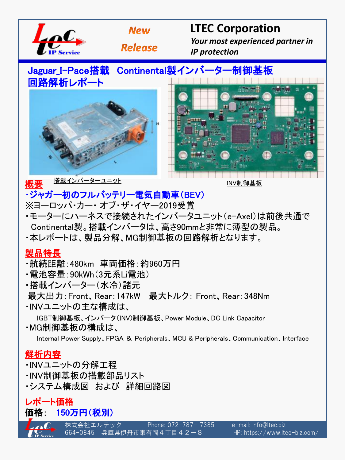



## **LTEC Corporation**

 *Your most experienced partner in IP protection*

**Release** 

# Jaguar\_I-Pace搭載 Continental製インバーター制御基板





概要

搭載インバーターユニット マンディング こうしょう INV制御基板

### ・ジャガー初のフルバッテリー電気自動車(BEV)

- ※ヨーロッパ・カー・ オブ・ザ・イヤー2019受賞
- ・モーターにハーネスで接続されたインバータユニット(e-Axel)は前後共通で Continental製。搭載インバータは、高さ90mmと非常に薄型の製品。
- ・本レポートは、製品分解、MG制御基板の回路解析となります。

#### 製品特長

- ・航続距離:480km 車両価格:約960万円
- ・電池容量:90kWh(3元系Li電池)
- ・搭載インバーター(水冷)諸元
- 最大出力:Front、Rear:147kW 最大トルク: Front、Rear:348Nm
- ・INVユニットの主な構成は、

IGBT制御基板、インバータ(INV)制御基板、Power Module、DC Link Capacitor

・MG制御基板の構成は、

Internal Power Supply、FPGA & Peripherals、MCU & Peripherals、Communication、Interface

#### 解析内容

- ・INVユニットの分解工程
- ・INV制御基板の搭載部品リスト
- ・システム構成図 および 詳細回路図

レポート価格

価格: 150万円(税別)